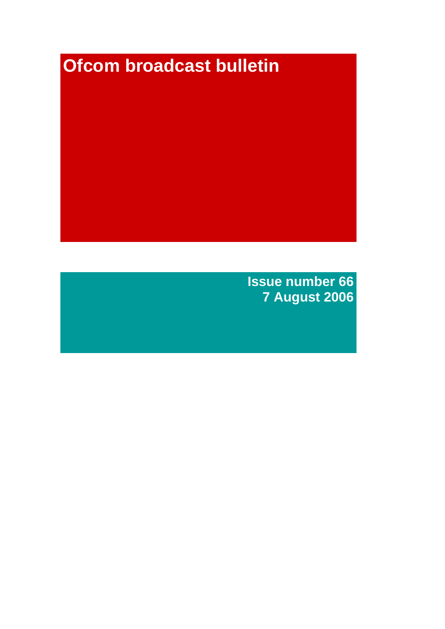# **Ofcom broadcast bulletin**

**Issue number 66 7 August 2006**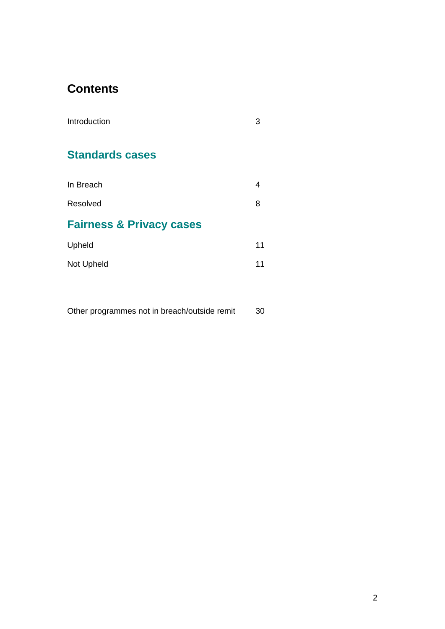### **Contents**

| Introduction                        | З  |
|-------------------------------------|----|
| <b>Standards cases</b>              |    |
| In Breach                           | 4  |
| Resolved                            | 8  |
| <b>Fairness &amp; Privacy cases</b> |    |
| Upheld                              | 11 |
| Not Upheld                          | 11 |
|                                     |    |

Other programmes not in breach/outside remit 30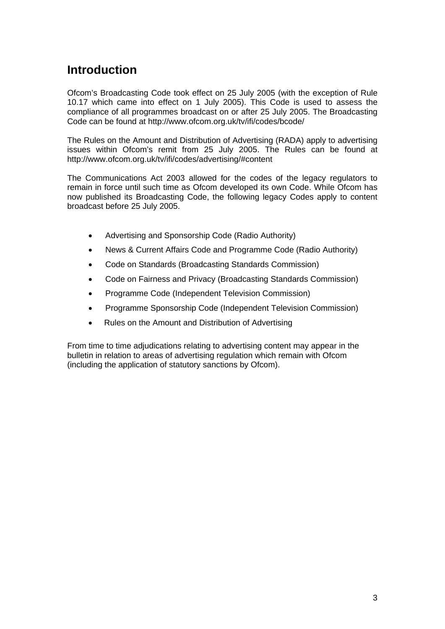### **Introduction**

Ofcom's Broadcasting Code took effect on 25 July 2005 (with the exception of Rule 10.17 which came into effect on 1 July 2005). This Code is used to assess the compliance of all programmes broadcast on or after 25 July 2005. The Broadcasting Code can be found at http://www.ofcom.org.uk/tv/ifi/codes/bcode/

The Rules on the Amount and Distribution of Advertising (RADA) apply to advertising issues within Ofcom's remit from 25 July 2005. The Rules can be found at http://www.ofcom.org.uk/tv/ifi/codes/advertising/#content

The Communications Act 2003 allowed for the codes of the legacy regulators to remain in force until such time as Ofcom developed its own Code. While Ofcom has now published its Broadcasting Code, the following legacy Codes apply to content broadcast before 25 July 2005.

- Advertising and Sponsorship Code (Radio Authority)
- News & Current Affairs Code and Programme Code (Radio Authority)
- Code on Standards (Broadcasting Standards Commission)
- Code on Fairness and Privacy (Broadcasting Standards Commission)
- Programme Code (Independent Television Commission)
- Programme Sponsorship Code (Independent Television Commission)
- Rules on the Amount and Distribution of Advertising

From time to time adjudications relating to advertising content may appear in the bulletin in relation to areas of advertising regulation which remain with Ofcom (including the application of statutory sanctions by Ofcom).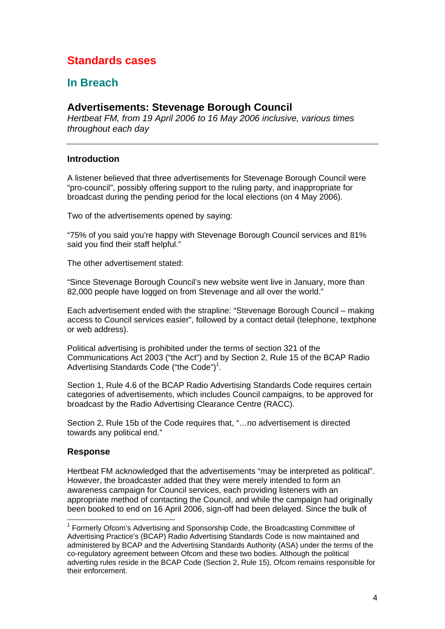### **Standards cases**

### **In Breach**

### **Advertisements: Stevenage Borough Council**

*Hertbeat FM, from 19 April 2006 to 16 May 2006 inclusive, various times throughout each day*

### **Introduction**

A listener believed that three advertisements for Stevenage Borough Council were "pro-council", possibly offering support to the ruling party, and inappropriate for broadcast during the pending period for the local elections (on 4 May 2006).

Two of the advertisements opened by saying:

"75% of you said you're happy with Stevenage Borough Council services and 81% said you find their staff helpful."

The other advertisement stated:

"Since Stevenage Borough Council's new website went live in January, more than 82,000 people have logged on from Stevenage and all over the world."

Each advertisement ended with the strapline: "Stevenage Borough Council – making access to Council services easier", followed by a contact detail (telephone, textphone or web address).

Political advertising is prohibited under the terms of section 321 of the Communications Act 2003 ("the Act") and by Section 2, Rule 15 of the BCAP Radio Advertising Standards Code ("the Code")<sup>1</sup>.

Section 1, Rule 4.6 of the BCAP Radio Advertising Standards Code requires certain categories of advertisements, which includes Council campaigns, to be approved for broadcast by the Radio Advertising Clearance Centre (RACC).

Section 2, Rule 15b of the Code requires that, "…no advertisement is directed towards any political end."

### **Response**

1

Hertbeat FM acknowledged that the advertisements "may be interpreted as political". However, the broadcaster added that they were merely intended to form an awareness campaign for Council services, each providing listeners with an appropriate method of contacting the Council, and while the campaign had originally been booked to end on 16 April 2006, sign-off had been delayed. Since the bulk of

<sup>&</sup>lt;sup>1</sup> Formerly Ofcom's Advertising and Sponsorship Code, the Broadcasting Committee of Advertising Practice's (BCAP) Radio Advertising Standards Code is now maintained and administered by BCAP and the Advertising Standards Authority (ASA) under the terms of the co-regulatory agreement between Ofcom and these two bodies. Although the political adverting rules reside in the BCAP Code (Section 2, Rule 15), Ofcom remains responsible for their enforcement.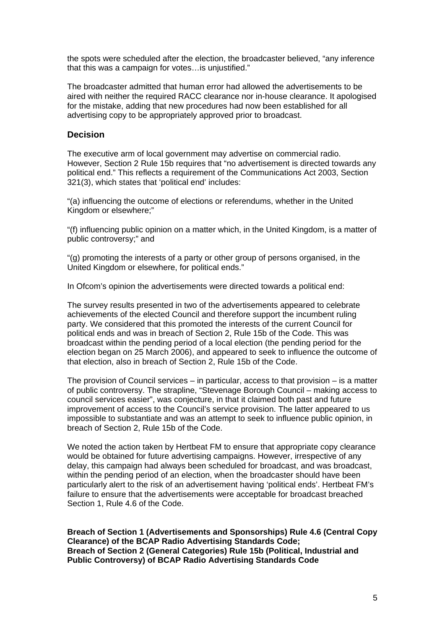the spots were scheduled after the election, the broadcaster believed, "any inference that this was a campaign for votes…is unjustified."

The broadcaster admitted that human error had allowed the advertisements to be aired with neither the required RACC clearance nor in-house clearance. It apologised for the mistake, adding that new procedures had now been established for all advertising copy to be appropriately approved prior to broadcast.

### **Decision**

The executive arm of local government may advertise on commercial radio. However, Section 2 Rule 15b requires that "no advertisement is directed towards any political end." This reflects a requirement of the Communications Act 2003, Section 321(3), which states that 'political end' includes:

"(a) influencing the outcome of elections or referendums, whether in the United Kingdom or elsewhere;"

"(f) influencing public opinion on a matter which, in the United Kingdom, is a matter of public controversy;" and

"(g) promoting the interests of a party or other group of persons organised, in the United Kingdom or elsewhere, for political ends."

In Ofcom's opinion the advertisements were directed towards a political end:

The survey results presented in two of the advertisements appeared to celebrate achievements of the elected Council and therefore support the incumbent ruling party. We considered that this promoted the interests of the current Council for political ends and was in breach of Section 2, Rule 15b of the Code. This was broadcast within the pending period of a local election (the pending period for the election began on 25 March 2006), and appeared to seek to influence the outcome of that election, also in breach of Section 2, Rule 15b of the Code.

The provision of Council services – in particular, access to that provision – is a matter of public controversy. The strapline, "Stevenage Borough Council – making access to council services easier", was conjecture, in that it claimed both past and future improvement of access to the Council's service provision. The latter appeared to us impossible to substantiate and was an attempt to seek to influence public opinion, in breach of Section 2, Rule 15b of the Code.

We noted the action taken by Hertbeat FM to ensure that appropriate copy clearance would be obtained for future advertising campaigns. However, irrespective of any delay, this campaign had always been scheduled for broadcast, and was broadcast, within the pending period of an election, when the broadcaster should have been particularly alert to the risk of an advertisement having 'political ends'. Hertbeat FM's failure to ensure that the advertisements were acceptable for broadcast breached Section 1, Rule 4.6 of the Code.

**Breach of Section 1 (Advertisements and Sponsorships) Rule 4.6 (Central Copy Clearance) of the BCAP Radio Advertising Standards Code; Breach of Section 2 (General Categories) Rule 15b (Political, Industrial and Public Controversy) of BCAP Radio Advertising Standards Code**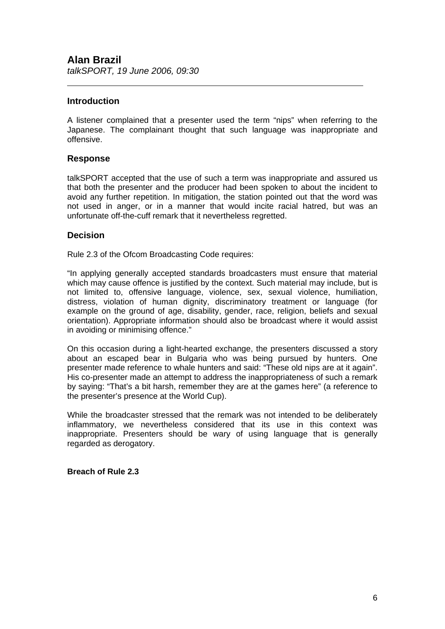### **Introduction**

 $\overline{a}$ 

A listener complained that a presenter used the term "nips" when referring to the Japanese. The complainant thought that such language was inappropriate and offensive.

### **Response**

talkSPORT accepted that the use of such a term was inappropriate and assured us that both the presenter and the producer had been spoken to about the incident to avoid any further repetition. In mitigation, the station pointed out that the word was not used in anger, or in a manner that would incite racial hatred, but was an unfortunate off-the-cuff remark that it nevertheless regretted.

### **Decision**

Rule 2.3 of the Ofcom Broadcasting Code requires:

"In applying generally accepted standards broadcasters must ensure that material which may cause offence is justified by the context. Such material may include, but is not limited to, offensive language, violence, sex, sexual violence, humiliation, distress, violation of human dignity, discriminatory treatment or language (for example on the ground of age, disability, gender, race, religion, beliefs and sexual orientation). Appropriate information should also be broadcast where it would assist in avoiding or minimising offence."

On this occasion during a light-hearted exchange, the presenters discussed a story about an escaped bear in Bulgaria who was being pursued by hunters. One presenter made reference to whale hunters and said: "These old nips are at it again". His co-presenter made an attempt to address the inappropriateness of such a remark by saying: "That's a bit harsh, remember they are at the games here" (a reference to the presenter's presence at the World Cup).

While the broadcaster stressed that the remark was not intended to be deliberately inflammatory, we nevertheless considered that its use in this context was inappropriate. Presenters should be wary of using language that is generally regarded as derogatory.

**Breach of Rule 2.3**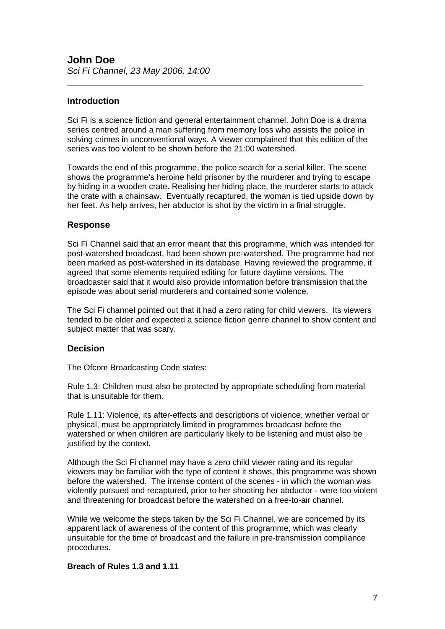### **Introduction**

 $\overline{a}$ 

Sci Fi is a science fiction and general entertainment channel. John Doe is a drama series centred around a man suffering from memory loss who assists the police in solving crimes in unconventional ways. A viewer complained that this edition of the series was too violent to be shown before the 21:00 watershed.

Towards the end of this programme, the police search for a serial killer. The scene shows the programme's heroine held prisoner by the murderer and trying to escape by hiding in a wooden crate. Realising her hiding place, the murderer starts to attack the crate with a chainsaw. Eventually recaptured, the woman is tied upside down by her feet. As help arrives, her abductor is shot by the victim in a final struggle.

### **Response**

Sci Fi Channel said that an error meant that this programme, which was intended for post-watershed broadcast, had been shown pre-watershed. The programme had not been marked as post-watershed in its database. Having reviewed the programme, it agreed that some elements required editing for future daytime versions. The broadcaster said that it would also provide information before transmission that the episode was about serial murderers and contained some violence.

The Sci Fi channel pointed out that it had a zero rating for child viewers. Its viewers tended to be older and expected a science fiction genre channel to show content and subject matter that was scary.

### **Decision**

The Ofcom Broadcasting Code states:

Rule 1.3: Children must also be protected by appropriate scheduling from material that is unsuitable for them.

Rule 1.11: Violence, its after-effects and descriptions of violence, whether verbal or physical, must be appropriately limited in programmes broadcast before the watershed or when children are particularly likely to be listening and must also be justified by the context.

Although the Sci Fi channel may have a zero child viewer rating and its regular viewers may be familiar with the type of content it shows, this programme was shown before the watershed. The intense content of the scenes - in which the woman was violently pursued and recaptured, prior to her shooting her abductor - were too violent and threatening for broadcast before the watershed on a free-to-air channel.

While we welcome the steps taken by the Sci Fi Channel, we are concerned by its apparent lack of awareness of the content of this programme, which was clearly unsuitable for the time of broadcast and the failure in pre-transmission compliance procedures.

### **Breach of Rules 1.3 and 1.11**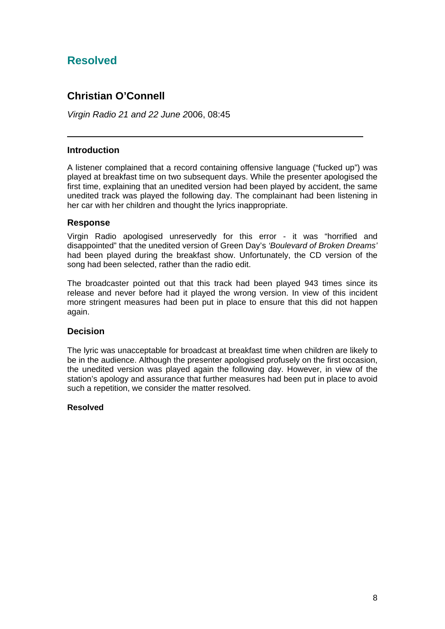### **Resolved**

### **Christian O'Connell**

*Virgin Radio 21 and 22 June 2*006, 08:45

### **Introduction**

 $\overline{a}$ 

A listener complained that a record containing offensive language ("fucked up") was played at breakfast time on two subsequent days. While the presenter apologised the first time, explaining that an unedited version had been played by accident, the same unedited track was played the following day. The complainant had been listening in her car with her children and thought the lyrics inappropriate.

### **Response**

Virgin Radio apologised unreservedly for this error - it was "horrified and disappointed" that the unedited version of Green Day's *'Boulevard of Broken Dreams'* had been played during the breakfast show. Unfortunately, the CD version of the song had been selected, rather than the radio edit.

The broadcaster pointed out that this track had been played 943 times since its release and never before had it played the wrong version. In view of this incident more stringent measures had been put in place to ensure that this did not happen again.

### **Decision**

The lyric was unacceptable for broadcast at breakfast time when children are likely to be in the audience. Although the presenter apologised profusely on the first occasion, the unedited version was played again the following day. However, in view of the station's apology and assurance that further measures had been put in place to avoid such a repetition, we consider the matter resolved.

#### **Resolved**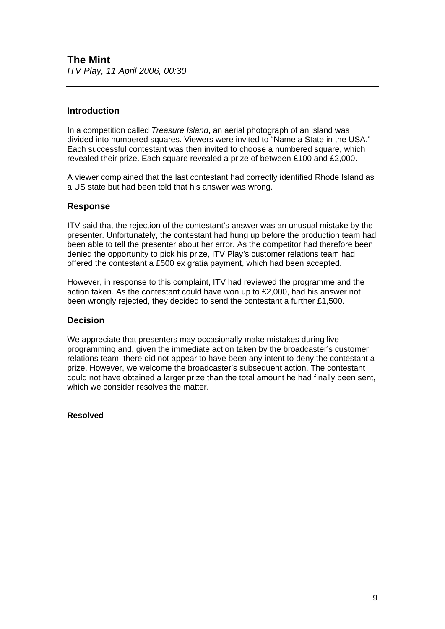### **The Mint**  *ITV Play, 11 April 2006, 00:30*

### **Introduction**

In a competition called *Treasure Island*, an aerial photograph of an island was divided into numbered squares. Viewers were invited to "Name a State in the USA." Each successful contestant was then invited to choose a numbered square, which revealed their prize. Each square revealed a prize of between £100 and £2,000.

A viewer complained that the last contestant had correctly identified Rhode Island as a US state but had been told that his answer was wrong.

### **Response**

ITV said that the rejection of the contestant's answer was an unusual mistake by the presenter. Unfortunately, the contestant had hung up before the production team had been able to tell the presenter about her error. As the competitor had therefore been denied the opportunity to pick his prize, ITV Play's customer relations team had offered the contestant a £500 ex gratia payment, which had been accepted.

However, in response to this complaint, ITV had reviewed the programme and the action taken. As the contestant could have won up to £2,000, had his answer not been wrongly rejected, they decided to send the contestant a further £1,500.

### **Decision**

We appreciate that presenters may occasionally make mistakes during live programming and, given the immediate action taken by the broadcaster's customer relations team, there did not appear to have been any intent to deny the contestant a prize. However, we welcome the broadcaster's subsequent action. The contestant could not have obtained a larger prize than the total amount he had finally been sent, which we consider resolves the matter.

### **Resolved**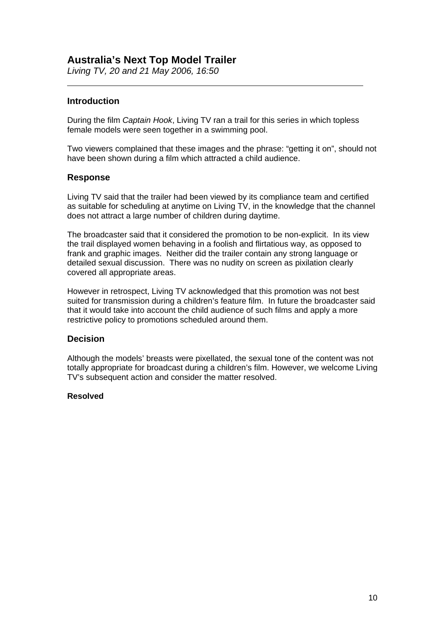### **Australia's Next Top Model Trailer**

*Living TV, 20 and 21 May 2006, 16:50* 

### **Introduction**

 $\overline{a}$ 

During the film *Captain Hook*, Living TV ran a trail for this series in which topless female models were seen together in a swimming pool.

Two viewers complained that these images and the phrase: "getting it on", should not have been shown during a film which attracted a child audience.

### **Response**

Living TV said that the trailer had been viewed by its compliance team and certified as suitable for scheduling at anytime on Living TV, in the knowledge that the channel does not attract a large number of children during daytime.

The broadcaster said that it considered the promotion to be non-explicit. In its view the trail displayed women behaving in a foolish and flirtatious way, as opposed to frank and graphic images. Neither did the trailer contain any strong language or detailed sexual discussion. There was no nudity on screen as pixilation clearly covered all appropriate areas.

However in retrospect, Living TV acknowledged that this promotion was not best suited for transmission during a children's feature film. In future the broadcaster said that it would take into account the child audience of such films and apply a more restrictive policy to promotions scheduled around them.

### **Decision**

Although the models' breasts were pixellated, the sexual tone of the content was not totally appropriate for broadcast during a children's film. However, we welcome Living TV's subsequent action and consider the matter resolved.

#### **Resolved**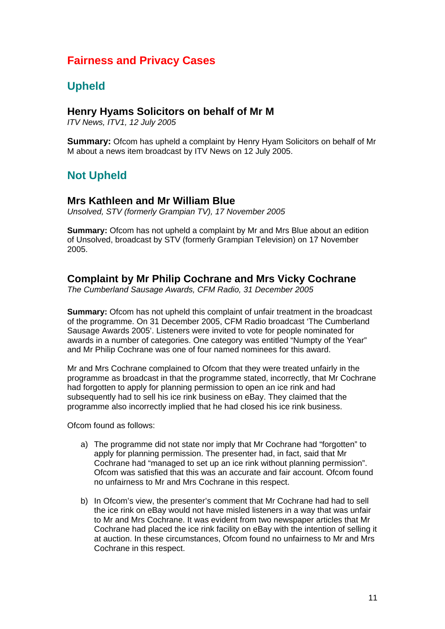### **Fairness and Privacy Cases**

### **Upheld**

### **Henry Hyams Solicitors on behalf of Mr M**

*ITV News, ITV1, 12 July 2005* 

**Summary:** Ofcom has upheld a complaint by Henry Hyam Solicitors on behalf of Mr M about a news item broadcast by ITV News on 12 July 2005.

### **Not Upheld**

### **Mrs Kathleen and Mr William Blue**

*Unsolved, STV (formerly Grampian TV), 17 November 2005* 

**Summary:** Ofcom has not upheld a complaint by Mr and Mrs Blue about an edition of Unsolved, broadcast by STV (formerly Grampian Television) on 17 November 2005.

### **Complaint by Mr Philip Cochrane and Mrs Vicky Cochrane**

*The Cumberland Sausage Awards, CFM Radio, 31 December 2005* 

**Summary:** Ofcom has not upheld this complaint of unfair treatment in the broadcast of the programme. On 31 December 2005, CFM Radio broadcast 'The Cumberland Sausage Awards 2005'. Listeners were invited to vote for people nominated for awards in a number of categories. One category was entitled "Numpty of the Year" and Mr Philip Cochrane was one of four named nominees for this award.

Mr and Mrs Cochrane complained to Ofcom that they were treated unfairly in the programme as broadcast in that the programme stated, incorrectly, that Mr Cochrane had forgotten to apply for planning permission to open an ice rink and had subsequently had to sell his ice rink business on eBay. They claimed that the programme also incorrectly implied that he had closed his ice rink business.

Ofcom found as follows:

- a) The programme did not state nor imply that Mr Cochrane had "forgotten" to apply for planning permission. The presenter had, in fact, said that Mr Cochrane had "managed to set up an ice rink without planning permission". Ofcom was satisfied that this was an accurate and fair account. Ofcom found no unfairness to Mr and Mrs Cochrane in this respect.
- b) In Ofcom's view, the presenter's comment that Mr Cochrane had had to sell the ice rink on eBay would not have misled listeners in a way that was unfair to Mr and Mrs Cochrane. It was evident from two newspaper articles that Mr Cochrane had placed the ice rink facility on eBay with the intention of selling it at auction. In these circumstances, Ofcom found no unfairness to Mr and Mrs Cochrane in this respect.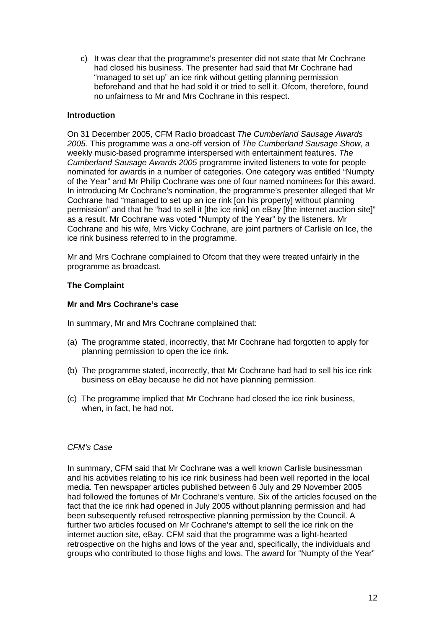c) It was clear that the programme's presenter did not state that Mr Cochrane had closed his business. The presenter had said that Mr Cochrane had "managed to set up" an ice rink without getting planning permission beforehand and that he had sold it or tried to sell it. Ofcom, therefore, found no unfairness to Mr and Mrs Cochrane in this respect.

### **Introduction**

On 31 December 2005, CFM Radio broadcast *The Cumberland Sausage Awards 2005.* This programme was a one-off version of *The Cumberland Sausage Show*, a weekly music-based programme interspersed with entertainment features. *The Cumberland Sausage Awards 2005* programme invited listeners to vote for people nominated for awards in a number of categories. One category was entitled "Numpty of the Year" and Mr Philip Cochrane was one of four named nominees for this award. In introducing Mr Cochrane's nomination, the programme's presenter alleged that Mr Cochrane had "managed to set up an ice rink [on his property] without planning permission" and that he "had to sell it [the ice rink] on eBay [the internet auction site]" as a result. Mr Cochrane was voted "Numpty of the Year" by the listeners. Mr Cochrane and his wife, Mrs Vicky Cochrane, are joint partners of Carlisle on Ice, the ice rink business referred to in the programme.

Mr and Mrs Cochrane complained to Ofcom that they were treated unfairly in the programme as broadcast.

### **The Complaint**

### **Mr and Mrs Cochrane's case**

In summary, Mr and Mrs Cochrane complained that:

- (a) The programme stated, incorrectly, that Mr Cochrane had forgotten to apply for planning permission to open the ice rink.
- (b) The programme stated, incorrectly, that Mr Cochrane had had to sell his ice rink business on eBay because he did not have planning permission.
- (c) The programme implied that Mr Cochrane had closed the ice rink business, when, in fact, he had not.

#### *CFM's Case*

In summary, CFM said that Mr Cochrane was a well known Carlisle businessman and his activities relating to his ice rink business had been well reported in the local media. Ten newspaper articles published between 6 July and 29 November 2005 had followed the fortunes of Mr Cochrane's venture. Six of the articles focused on the fact that the ice rink had opened in July 2005 without planning permission and had been subsequently refused retrospective planning permission by the Council. A further two articles focused on Mr Cochrane's attempt to sell the ice rink on the internet auction site, eBay. CFM said that the programme was a light-hearted retrospective on the highs and lows of the year and, specifically, the individuals and groups who contributed to those highs and lows. The award for "Numpty of the Year"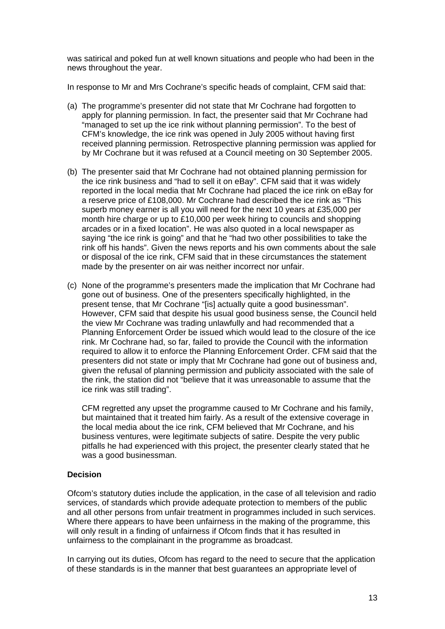was satirical and poked fun at well known situations and people who had been in the news throughout the year.

In response to Mr and Mrs Cochrane's specific heads of complaint, CFM said that:

- (a) The programme's presenter did not state that Mr Cochrane had forgotten to apply for planning permission. In fact, the presenter said that Mr Cochrane had "managed to set up the ice rink without planning permission". To the best of CFM's knowledge, the ice rink was opened in July 2005 without having first received planning permission. Retrospective planning permission was applied for by Mr Cochrane but it was refused at a Council meeting on 30 September 2005.
- (b) The presenter said that Mr Cochrane had not obtained planning permission for the ice rink business and "had to sell it on eBay". CFM said that it was widely reported in the local media that Mr Cochrane had placed the ice rink on eBay for a reserve price of £108,000. Mr Cochrane had described the ice rink as "This superb money earner is all you will need for the next 10 years at £35,000 per month hire charge or up to £10,000 per week hiring to councils and shopping arcades or in a fixed location". He was also quoted in a local newspaper as saying "the ice rink is going" and that he "had two other possibilities to take the rink off his hands". Given the news reports and his own comments about the sale or disposal of the ice rink, CFM said that in these circumstances the statement made by the presenter on air was neither incorrect nor unfair.
- (c) None of the programme's presenters made the implication that Mr Cochrane had gone out of business. One of the presenters specifically highlighted, in the present tense, that Mr Cochrane "[is] actually quite a good businessman". However, CFM said that despite his usual good business sense, the Council held the view Mr Cochrane was trading unlawfully and had recommended that a Planning Enforcement Order be issued which would lead to the closure of the ice rink. Mr Cochrane had, so far, failed to provide the Council with the information required to allow it to enforce the Planning Enforcement Order. CFM said that the presenters did not state or imply that Mr Cochrane had gone out of business and, given the refusal of planning permission and publicity associated with the sale of the rink, the station did not "believe that it was unreasonable to assume that the ice rink was still trading".

 CFM regretted any upset the programme caused to Mr Cochrane and his family, but maintained that it treated him fairly. As a result of the extensive coverage in the local media about the ice rink, CFM believed that Mr Cochrane, and his business ventures, were legitimate subjects of satire. Despite the very public pitfalls he had experienced with this project, the presenter clearly stated that he was a good businessman.

### **Decision**

Ofcom's statutory duties include the application, in the case of all television and radio services, of standards which provide adequate protection to members of the public and all other persons from unfair treatment in programmes included in such services. Where there appears to have been unfairness in the making of the programme, this will only result in a finding of unfairness if Ofcom finds that it has resulted in unfairness to the complainant in the programme as broadcast.

In carrying out its duties, Ofcom has regard to the need to secure that the application of these standards is in the manner that best guarantees an appropriate level of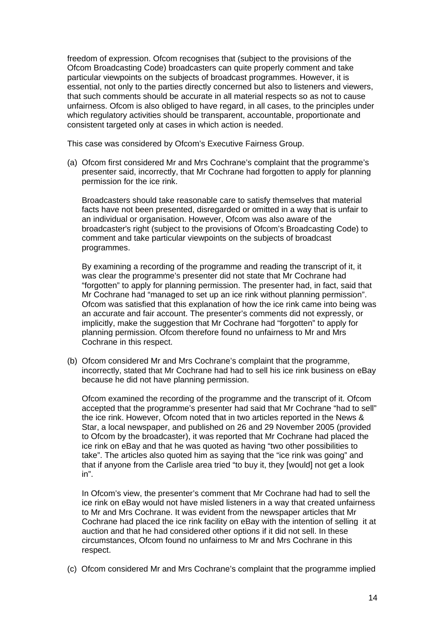freedom of expression. Ofcom recognises that (subject to the provisions of the Ofcom Broadcasting Code) broadcasters can quite properly comment and take particular viewpoints on the subjects of broadcast programmes. However, it is essential, not only to the parties directly concerned but also to listeners and viewers, that such comments should be accurate in all material respects so as not to cause unfairness. Ofcom is also obliged to have regard, in all cases, to the principles under which regulatory activities should be transparent, accountable, proportionate and consistent targeted only at cases in which action is needed.

This case was considered by Ofcom's Executive Fairness Group.

(a) Ofcom first considered Mr and Mrs Cochrane's complaint that the programme's presenter said, incorrectly, that Mr Cochrane had forgotten to apply for planning permission for the ice rink.

Broadcasters should take reasonable care to satisfy themselves that material facts have not been presented, disregarded or omitted in a way that is unfair to an individual or organisation. However, Ofcom was also aware of the broadcaster's right (subject to the provisions of Ofcom's Broadcasting Code) to comment and take particular viewpoints on the subjects of broadcast programmes.

By examining a recording of the programme and reading the transcript of it, it was clear the programme's presenter did not state that Mr Cochrane had "forgotten" to apply for planning permission. The presenter had, in fact, said that Mr Cochrane had "managed to set up an ice rink without planning permission". Ofcom was satisfied that this explanation of how the ice rink came into being was an accurate and fair account. The presenter's comments did not expressly, or implicitly, make the suggestion that Mr Cochrane had "forgotten" to apply for planning permission. Ofcom therefore found no unfairness to Mr and Mrs Cochrane in this respect.

(b) Ofcom considered Mr and Mrs Cochrane's complaint that the programme, incorrectly, stated that Mr Cochrane had had to sell his ice rink business on eBay because he did not have planning permission.

 Ofcom examined the recording of the programme and the transcript of it. Ofcom accepted that the programme's presenter had said that Mr Cochrane "had to sell" the ice rink. However, Ofcom noted that in two articles reported in the News & Star, a local newspaper, and published on 26 and 29 November 2005 (provided to Ofcom by the broadcaster), it was reported that Mr Cochrane had placed the ice rink on eBay and that he was quoted as having "two other possibilities to take". The articles also quoted him as saying that the "ice rink was going" and that if anyone from the Carlisle area tried "to buy it, they [would] not get a look in".

 In Ofcom's view, the presenter's comment that Mr Cochrane had had to sell the ice rink on eBay would not have misled listeners in a way that created unfairness to Mr and Mrs Cochrane. It was evident from the newspaper articles that Mr Cochrane had placed the ice rink facility on eBay with the intention of selling it at auction and that he had considered other options if it did not sell. In these circumstances, Ofcom found no unfairness to Mr and Mrs Cochrane in this respect.

(c) Ofcom considered Mr and Mrs Cochrane's complaint that the programme implied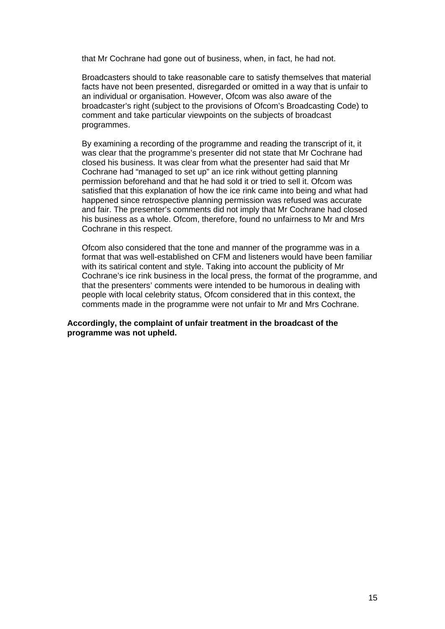that Mr Cochrane had gone out of business, when, in fact, he had not.

Broadcasters should to take reasonable care to satisfy themselves that material facts have not been presented, disregarded or omitted in a way that is unfair to an individual or organisation. However, Ofcom was also aware of the broadcaster's right (subject to the provisions of Ofcom's Broadcasting Code) to comment and take particular viewpoints on the subjects of broadcast programmes.

By examining a recording of the programme and reading the transcript of it, it was clear that the programme's presenter did not state that Mr Cochrane had closed his business. It was clear from what the presenter had said that Mr Cochrane had "managed to set up" an ice rink without getting planning permission beforehand and that he had sold it or tried to sell it. Ofcom was satisfied that this explanation of how the ice rink came into being and what had happened since retrospective planning permission was refused was accurate and fair. The presenter's comments did not imply that Mr Cochrane had closed his business as a whole. Ofcom, therefore, found no unfairness to Mr and Mrs Cochrane in this respect.

 Ofcom also considered that the tone and manner of the programme was in a format that was well-established on CFM and listeners would have been familiar with its satirical content and style. Taking into account the publicity of Mr Cochrane's ice rink business in the local press, the format of the programme, and that the presenters' comments were intended to be humorous in dealing with people with local celebrity status, Ofcom considered that in this context, the comments made in the programme were not unfair to Mr and Mrs Cochrane.

**Accordingly, the complaint of unfair treatment in the broadcast of the programme was not upheld.**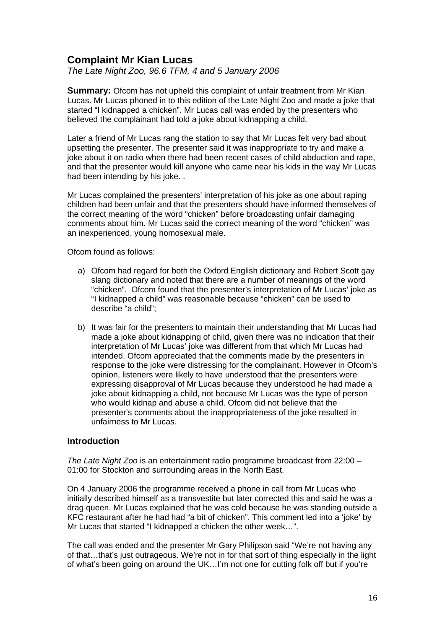### **Complaint Mr Kian Lucas**

*The Late Night Zoo, 96.6 TFM, 4 and 5 January 2006* 

**Summary:** Ofcom has not upheld this complaint of unfair treatment from Mr Kian Lucas. Mr Lucas phoned in to this edition of the Late Night Zoo and made a joke that started "I kidnapped a chicken". Mr Lucas call was ended by the presenters who believed the complainant had told a joke about kidnapping a child.

Later a friend of Mr Lucas rang the station to say that Mr Lucas felt very bad about upsetting the presenter. The presenter said it was inappropriate to try and make a joke about it on radio when there had been recent cases of child abduction and rape, and that the presenter would kill anyone who came near his kids in the way Mr Lucas had been intending by his joke...

Mr Lucas complained the presenters' interpretation of his joke as one about raping children had been unfair and that the presenters should have informed themselves of the correct meaning of the word "chicken" before broadcasting unfair damaging comments about him. Mr Lucas said the correct meaning of the word "chicken" was an inexperienced, young homosexual male.

Ofcom found as follows:

- a) Ofcom had regard for both the Oxford English dictionary and Robert Scott gay slang dictionary and noted that there are a number of meanings of the word "chicken". Ofcom found that the presenter's interpretation of Mr Lucas' joke as "I kidnapped a child" was reasonable because "chicken" can be used to describe "a child";
- b) It was fair for the presenters to maintain their understanding that Mr Lucas had made a joke about kidnapping of child, given there was no indication that their interpretation of Mr Lucas' joke was different from that which Mr Lucas had intended. Ofcom appreciated that the comments made by the presenters in response to the joke were distressing for the complainant. However in Ofcom's opinion, listeners were likely to have understood that the presenters were expressing disapproval of Mr Lucas because they understood he had made a joke about kidnapping a child, not because Mr Lucas was the type of person who would kidnap and abuse a child. Ofcom did not believe that the presenter's comments about the inappropriateness of the joke resulted in unfairness to Mr Lucas.

### **Introduction**

*The Late Night Zoo* is an entertainment radio programme broadcast from 22:00 – 01:00 for Stockton and surrounding areas in the North East.

On 4 January 2006 the programme received a phone in call from Mr Lucas who initially described himself as a transvestite but later corrected this and said he was a drag queen. Mr Lucas explained that he was cold because he was standing outside a KFC restaurant after he had had "a bit of chicken". This comment led into a 'joke' by Mr Lucas that started "I kidnapped a chicken the other week…".

The call was ended and the presenter Mr Gary Philipson said "We're not having any of that…that's just outrageous. We're not in for that sort of thing especially in the light of what's been going on around the UK…I'm not one for cutting folk off but if you're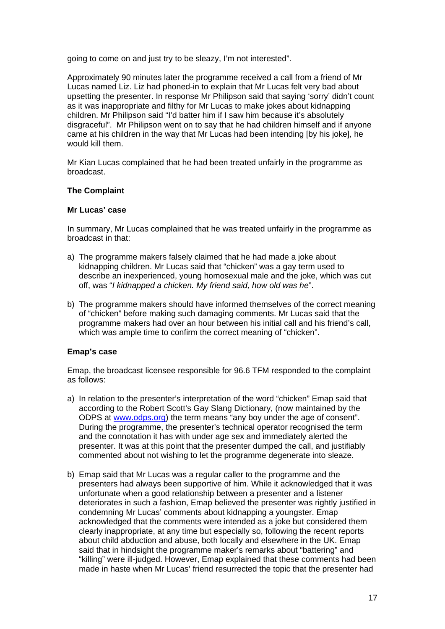going to come on and just try to be sleazy, I'm not interested".

Approximately 90 minutes later the programme received a call from a friend of Mr Lucas named Liz. Liz had phoned-in to explain that Mr Lucas felt very bad about upsetting the presenter. In response Mr Philipson said that saying 'sorry' didn't count as it was inappropriate and filthy for Mr Lucas to make jokes about kidnapping children. Mr Philipson said "I'd batter him if I saw him because it's absolutely disgraceful". Mr Philipson went on to say that he had children himself and if anyone came at his children in the way that Mr Lucas had been intending [by his joke], he would kill them.

Mr Kian Lucas complained that he had been treated unfairly in the programme as broadcast.

### **The Complaint**

### **Mr Lucas' case**

In summary, Mr Lucas complained that he was treated unfairly in the programme as broadcast in that:

- a) The programme makers falsely claimed that he had made a joke about kidnapping children. Mr Lucas said that "chicken" was a gay term used to describe an inexperienced, young homosexual male and the joke, which was cut off, was "*I kidnapped a chicken. My friend said, how old was he*".
- b) The programme makers should have informed themselves of the correct meaning of "chicken" before making such damaging comments. Mr Lucas said that the programme makers had over an hour between his initial call and his friend's call, which was ample time to confirm the correct meaning of "chicken".

### **Emap's case**

Emap, the broadcast licensee responsible for 96.6 TFM responded to the complaint as follows:

- a) In relation to the presenter's interpretation of the word "chicken" Emap said that according to the Robert Scott's Gay Slang Dictionary, (now maintained by the ODPS at www.odps.org) the term means "any boy under the age of consent". During the programme, the presenter's technical operator recognised the term and the connotation it has with under age sex and immediately alerted the presenter. It was at this point that the presenter dumped the call, and justifiably commented about not wishing to let the programme degenerate into sleaze.
- b) Emap said that Mr Lucas was a regular caller to the programme and the presenters had always been supportive of him. While it acknowledged that it was unfortunate when a good relationship between a presenter and a listener deteriorates in such a fashion, Emap believed the presenter was rightly justified in condemning Mr Lucas' comments about kidnapping a youngster. Emap acknowledged that the comments were intended as a joke but considered them clearly inappropriate, at any time but especially so, following the recent reports about child abduction and abuse, both locally and elsewhere in the UK. Emap said that in hindsight the programme maker's remarks about "battering" and "killing" were ill-judged. However, Emap explained that these comments had been made in haste when Mr Lucas' friend resurrected the topic that the presenter had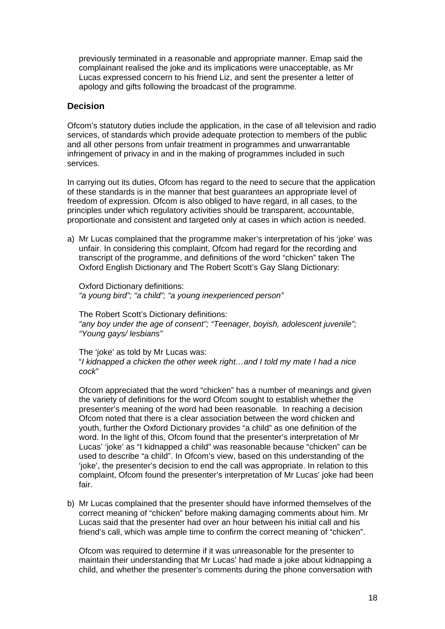previously terminated in a reasonable and appropriate manner. Emap said the complainant realised the joke and its implications were unacceptable, as Mr Lucas expressed concern to his friend Liz, and sent the presenter a letter of apology and gifts following the broadcast of the programme.

### **Decision**

Ofcom's statutory duties include the application, in the case of all television and radio services, of standards which provide adequate protection to members of the public and all other persons from unfair treatment in programmes and unwarrantable infringement of privacy in and in the making of programmes included in such services.

In carrying out its duties, Ofcom has regard to the need to secure that the application of these standards is in the manner that best guarantees an appropriate level of freedom of expression. Ofcom is also obliged to have regard, in all cases, to the principles under which regulatory activities should be transparent, accountable, proportionate and consistent and targeted only at cases in which action is needed.

a) Mr Lucas complained that the programme maker's interpretation of his 'joke' was unfair. In considering this complaint, Ofcom had regard for the recording and transcript of the programme, and definitions of the word "chicken" taken The Oxford English Dictionary and The Robert Scott's Gay Slang Dictionary:

 Oxford Dictionary definitions: *"a young bird"; "a child"; "a young inexperienced person"* 

 The Robert Scott's Dictionary definitions: *"any boy under the age of consent"; "Teenager, boyish, adolescent juvenile"; "Young gays/ lesbians"* 

The 'ioke' as told by Mr Lucas was: "*I kidnapped a chicken the other week right…and I told my mate I had a nice cock*"

Ofcom appreciated that the word "chicken" has a number of meanings and given the variety of definitions for the word Ofcom sought to establish whether the presenter's meaning of the word had been reasonable. In reaching a decision Ofcom noted that there is a clear association between the word chicken and youth, further the Oxford Dictionary provides "a child" as one definition of the word. In the light of this, Ofcom found that the presenter's interpretation of Mr Lucas' 'joke' as "I kidnapped a child" was reasonable because "chicken" can be used to describe "a child". In Ofcom's view, based on this understanding of the 'joke', the presenter's decision to end the call was appropriate. In relation to this complaint, Ofcom found the presenter's interpretation of Mr Lucas' joke had been fair.

b) Mr Lucas complained that the presenter should have informed themselves of the correct meaning of "chicken" before making damaging comments about him. Mr Lucas said that the presenter had over an hour between his initial call and his friend's call, which was ample time to confirm the correct meaning of "chicken".

 Ofcom was required to determine if it was unreasonable for the presenter to maintain their understanding that Mr Lucas' had made a joke about kidnapping a child, and whether the presenter's comments during the phone conversation with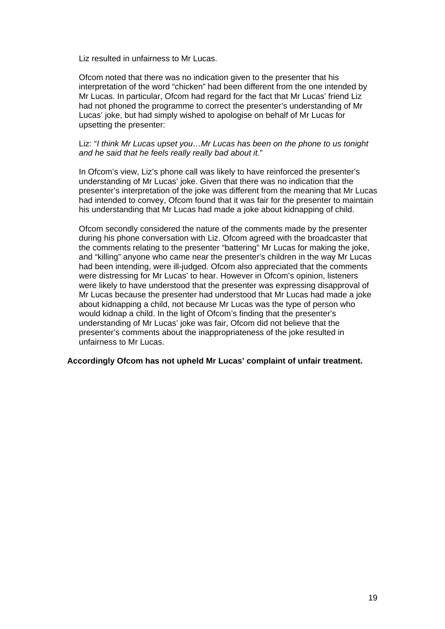Liz resulted in unfairness to Mr Lucas.

 Ofcom noted that there was no indication given to the presenter that his interpretation of the word "chicken" had been different from the one intended by Mr Lucas. In particular, Ofcom had regard for the fact that Mr Lucas' friend Liz had not phoned the programme to correct the presenter's understanding of Mr Lucas' joke, but had simply wished to apologise on behalf of Mr Lucas for upsetting the presenter:

#### Liz: "*I think Mr Lucas upset you…Mr Lucas has been on the phone to us tonight and he said that he feels really really bad about it.*"

 In Ofcom's view, Liz's phone call was likely to have reinforced the presenter's understanding of Mr Lucas' joke. Given that there was no indication that the presenter's interpretation of the joke was different from the meaning that Mr Lucas had intended to convey, Ofcom found that it was fair for the presenter to maintain his understanding that Mr Lucas had made a joke about kidnapping of child.

 Ofcom secondly considered the nature of the comments made by the presenter during his phone conversation with Liz. Ofcom agreed with the broadcaster that the comments relating to the presenter "battering" Mr Lucas for making the joke, and "killing" anyone who came near the presenter's children in the way Mr Lucas had been intending, were ill-judged. Ofcom also appreciated that the comments were distressing for Mr Lucas' to hear. However in Ofcom's opinion, listeners were likely to have understood that the presenter was expressing disapproval of Mr Lucas because the presenter had understood that Mr Lucas had made a joke about kidnapping a child, not because Mr Lucas was the type of person who would kidnap a child. In the light of Ofcom's finding that the presenter's understanding of Mr Lucas' joke was fair, Ofcom did not believe that the presenter's comments about the inappropriateness of the joke resulted in unfairness to Mr Lucas.

#### **Accordingly Ofcom has not upheld Mr Lucas' complaint of unfair treatment.**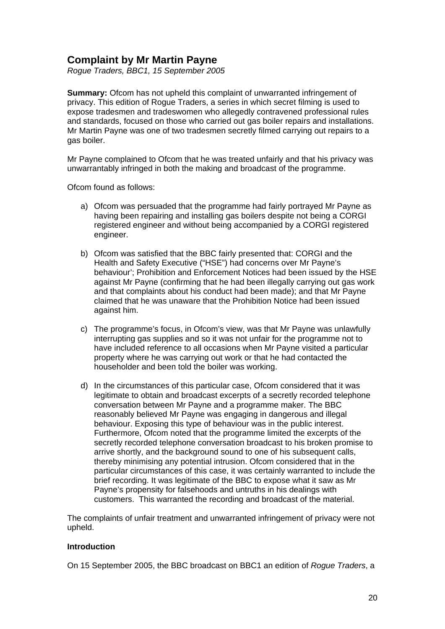### **Complaint by Mr Martin Payne**

*Rogue Traders, BBC1, 15 September 2005* 

**Summary:** Ofcom has not upheld this complaint of unwarranted infringement of privacy. This edition of Rogue Traders, a series in which secret filming is used to expose tradesmen and tradeswomen who allegedly contravened professional rules and standards, focused on those who carried out gas boiler repairs and installations. Mr Martin Payne was one of two tradesmen secretly filmed carrying out repairs to a gas boiler.

Mr Payne complained to Ofcom that he was treated unfairly and that his privacy was unwarrantably infringed in both the making and broadcast of the programme.

Ofcom found as follows:

- a) Ofcom was persuaded that the programme had fairly portrayed Mr Payne as having been repairing and installing gas boilers despite not being a CORGI registered engineer and without being accompanied by a CORGI registered engineer.
- b) Ofcom was satisfied that the BBC fairly presented that: CORGI and the Health and Safety Executive ("HSE") had concerns over Mr Payne's behaviour'; Prohibition and Enforcement Notices had been issued by the HSE against Mr Payne (confirming that he had been illegally carrying out gas work and that complaints about his conduct had been made); and that Mr Payne claimed that he was unaware that the Prohibition Notice had been issued against him.
- c) The programme's focus, in Ofcom's view, was that Mr Payne was unlawfully interrupting gas supplies and so it was not unfair for the programme not to have included reference to all occasions when Mr Payne visited a particular property where he was carrying out work or that he had contacted the householder and been told the boiler was working.
- d) In the circumstances of this particular case, Ofcom considered that it was legitimate to obtain and broadcast excerpts of a secretly recorded telephone conversation between Mr Payne and a programme maker. The BBC reasonably believed Mr Payne was engaging in dangerous and illegal behaviour. Exposing this type of behaviour was in the public interest. Furthermore, Ofcom noted that the programme limited the excerpts of the secretly recorded telephone conversation broadcast to his broken promise to arrive shortly, and the background sound to one of his subsequent calls, thereby minimising any potential intrusion. Ofcom considered that in the particular circumstances of this case, it was certainly warranted to include the brief recording. It was legitimate of the BBC to expose what it saw as Mr Payne's propensity for falsehoods and untruths in his dealings with customers. This warranted the recording and broadcast of the material.

The complaints of unfair treatment and unwarranted infringement of privacy were not upheld.

### **Introduction**

On 15 September 2005, the BBC broadcast on BBC1 an edition of *Rogue Traders*, a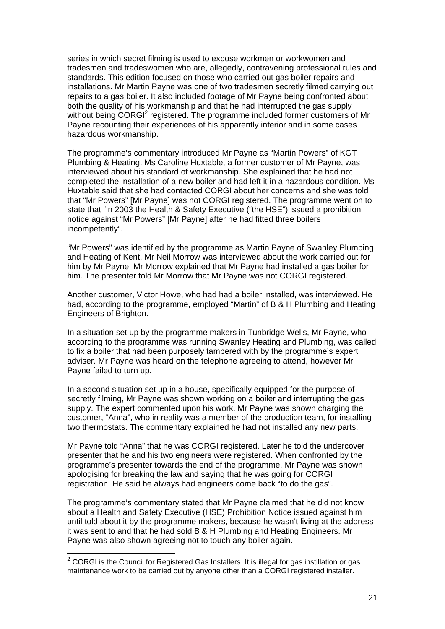series in which secret filming is used to expose workmen or workwomen and tradesmen and tradeswomen who are, allegedly, contravening professional rules and standards. This edition focused on those who carried out gas boiler repairs and installations. Mr Martin Payne was one of two tradesmen secretly filmed carrying out repairs to a gas boiler. It also included footage of Mr Payne being confronted about both the quality of his workmanship and that he had interrupted the gas supply without being CORGI<sup>2</sup> registered. The programme included former customers of Mr Payne recounting their experiences of his apparently inferior and in some cases hazardous workmanship.

The programme's commentary introduced Mr Payne as "Martin Powers" of KGT Plumbing & Heating. Ms Caroline Huxtable, a former customer of Mr Payne, was interviewed about his standard of workmanship. She explained that he had not completed the installation of a new boiler and had left it in a hazardous condition. Ms Huxtable said that she had contacted CORGI about her concerns and she was told that "Mr Powers" [Mr Payne] was not CORGI registered. The programme went on to state that "in 2003 the Health & Safety Executive ("the HSE") issued a prohibition notice against "Mr Powers" [Mr Payne] after he had fitted three boilers incompetently".

"Mr Powers" was identified by the programme as Martin Payne of Swanley Plumbing and Heating of Kent. Mr Neil Morrow was interviewed about the work carried out for him by Mr Payne. Mr Morrow explained that Mr Payne had installed a gas boiler for him. The presenter told Mr Morrow that Mr Payne was not CORGI registered.

Another customer, Victor Howe, who had had a boiler installed, was interviewed. He had, according to the programme, employed "Martin" of B & H Plumbing and Heating Engineers of Brighton.

In a situation set up by the programme makers in Tunbridge Wells, Mr Payne, who according to the programme was running Swanley Heating and Plumbing, was called to fix a boiler that had been purposely tampered with by the programme's expert adviser. Mr Payne was heard on the telephone agreeing to attend, however Mr Payne failed to turn up.

In a second situation set up in a house, specifically equipped for the purpose of secretly filming, Mr Payne was shown working on a boiler and interrupting the gas supply. The expert commented upon his work. Mr Payne was shown charging the customer, "Anna", who in reality was a member of the production team, for installing two thermostats. The commentary explained he had not installed any new parts.

Mr Payne told "Anna" that he was CORGI registered. Later he told the undercover presenter that he and his two engineers were registered. When confronted by the programme's presenter towards the end of the programme, Mr Payne was shown apologising for breaking the law and saying that he was going for CORGI registration. He said he always had engineers come back "to do the gas".

The programme's commentary stated that Mr Payne claimed that he did not know about a Health and Safety Executive (HSE) Prohibition Notice issued against him until told about it by the programme makers, because he wasn't living at the address it was sent to and that he had sold B & H Plumbing and Heating Engineers. Mr Payne was also shown agreeing not to touch any boiler again.

-

 $2$  CORGI is the Council for Registered Gas Installers. It is illegal for gas instillation or gas maintenance work to be carried out by anyone other than a CORGI registered installer.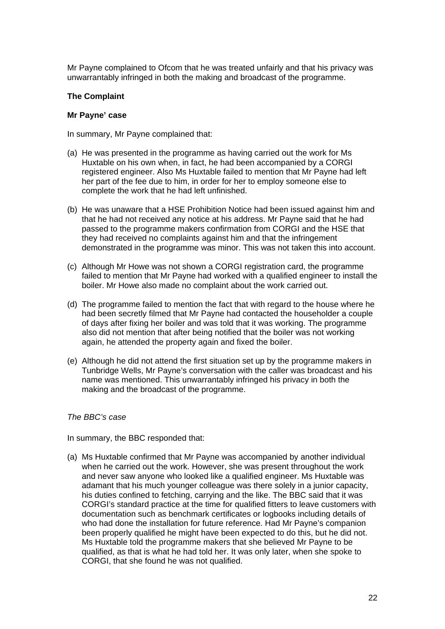Mr Payne complained to Ofcom that he was treated unfairly and that his privacy was unwarrantably infringed in both the making and broadcast of the programme.

### **The Complaint**

#### **Mr Payne' case**

In summary, Mr Payne complained that:

- (a) He was presented in the programme as having carried out the work for Ms Huxtable on his own when, in fact, he had been accompanied by a CORGI registered engineer. Also Ms Huxtable failed to mention that Mr Payne had left her part of the fee due to him, in order for her to employ someone else to complete the work that he had left unfinished.
- (b) He was unaware that a HSE Prohibition Notice had been issued against him and that he had not received any notice at his address. Mr Payne said that he had passed to the programme makers confirmation from CORGI and the HSE that they had received no complaints against him and that the infringement demonstrated in the programme was minor. This was not taken this into account.
- (c) Although Mr Howe was not shown a CORGI registration card, the programme failed to mention that Mr Payne had worked with a qualified engineer to install the boiler. Mr Howe also made no complaint about the work carried out.
- (d) The programme failed to mention the fact that with regard to the house where he had been secretly filmed that Mr Payne had contacted the householder a couple of days after fixing her boiler and was told that it was working. The programme also did not mention that after being notified that the boiler was not working again, he attended the property again and fixed the boiler.
- (e) Although he did not attend the first situation set up by the programme makers in Tunbridge Wells, Mr Payne's conversation with the caller was broadcast and his name was mentioned. This unwarrantably infringed his privacy in both the making and the broadcast of the programme.

#### *The BBC's case*

In summary, the BBC responded that:

(a) Ms Huxtable confirmed that Mr Payne was accompanied by another individual when he carried out the work. However, she was present throughout the work and never saw anyone who looked like a qualified engineer. Ms Huxtable was adamant that his much younger colleague was there solely in a junior capacity, his duties confined to fetching, carrying and the like. The BBC said that it was CORGI's standard practice at the time for qualified fitters to leave customers with documentation such as benchmark certificates or logbooks including details of who had done the installation for future reference. Had Mr Payne's companion been properly qualified he might have been expected to do this, but he did not. Ms Huxtable told the programme makers that she believed Mr Payne to be qualified, as that is what he had told her. It was only later, when she spoke to CORGI, that she found he was not qualified.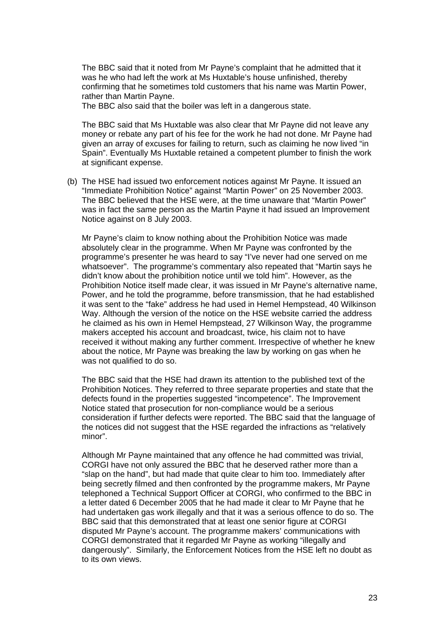The BBC said that it noted from Mr Payne's complaint that he admitted that it was he who had left the work at Ms Huxtable's house unfinished, thereby confirming that he sometimes told customers that his name was Martin Power, rather than Martin Payne.

The BBC also said that the boiler was left in a dangerous state.

The BBC said that Ms Huxtable was also clear that Mr Payne did not leave any money or rebate any part of his fee for the work he had not done. Mr Payne had given an array of excuses for failing to return, such as claiming he now lived "in Spain". Eventually Ms Huxtable retained a competent plumber to finish the work at significant expense.

(b) The HSE had issued two enforcement notices against Mr Payne. It issued an "Immediate Prohibition Notice" against "Martin Power" on 25 November 2003. The BBC believed that the HSE were, at the time unaware that "Martin Power" was in fact the same person as the Martin Payne it had issued an Improvement Notice against on 8 July 2003.

Mr Payne's claim to know nothing about the Prohibition Notice was made absolutely clear in the programme. When Mr Payne was confronted by the programme's presenter he was heard to say "I've never had one served on me whatsoever". The programme's commentary also repeated that "Martin says he didn't know about the prohibition notice until we told him". However, as the Prohibition Notice itself made clear, it was issued in Mr Payne's alternative name, Power, and he told the programme, before transmission, that he had established it was sent to the "fake" address he had used in Hemel Hempstead, 40 Wilkinson Way. Although the version of the notice on the HSE website carried the address he claimed as his own in Hemel Hempstead, 27 Wilkinson Way, the programme makers accepted his account and broadcast, twice, his claim not to have received it without making any further comment. Irrespective of whether he knew about the notice, Mr Payne was breaking the law by working on gas when he was not qualified to do so.

The BBC said that the HSE had drawn its attention to the published text of the Prohibition Notices. They referred to three separate properties and state that the defects found in the properties suggested "incompetence". The Improvement Notice stated that prosecution for non-compliance would be a serious consideration if further defects were reported. The BBC said that the language of the notices did not suggest that the HSE regarded the infractions as "relatively minor".

Although Mr Payne maintained that any offence he had committed was trivial, CORGI have not only assured the BBC that he deserved rather more than a "slap on the hand", but had made that quite clear to him too. Immediately after being secretly filmed and then confronted by the programme makers, Mr Payne telephoned a Technical Support Officer at CORGI, who confirmed to the BBC in a letter dated 6 December 2005 that he had made it clear to Mr Payne that he had undertaken gas work illegally and that it was a serious offence to do so. The BBC said that this demonstrated that at least one senior figure at CORGI disputed Mr Payne's account. The programme makers' communications with CORGI demonstrated that it regarded Mr Payne as working "illegally and dangerously". Similarly, the Enforcement Notices from the HSE left no doubt as to its own views.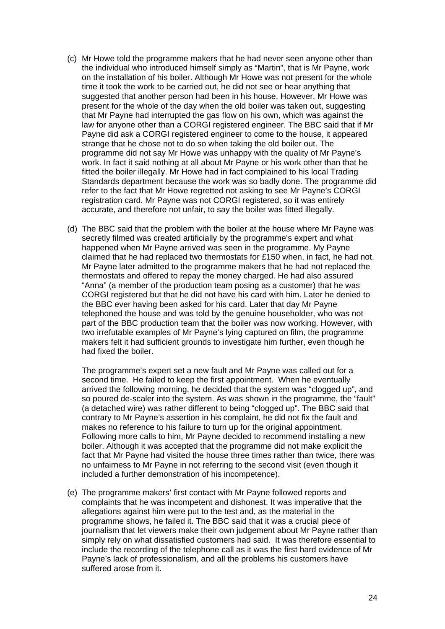- (c) Mr Howe told the programme makers that he had never seen anyone other than the individual who introduced himself simply as "Martin", that is Mr Payne, work on the installation of his boiler. Although Mr Howe was not present for the whole time it took the work to be carried out, he did not see or hear anything that suggested that another person had been in his house. However, Mr Howe was present for the whole of the day when the old boiler was taken out, suggesting that Mr Payne had interrupted the gas flow on his own, which was against the law for anyone other than a CORGI registered engineer. The BBC said that if Mr Payne did ask a CORGI registered engineer to come to the house, it appeared strange that he chose not to do so when taking the old boiler out. The programme did not say Mr Howe was unhappy with the quality of Mr Payne's work. In fact it said nothing at all about Mr Payne or his work other than that he fitted the boiler illegally. Mr Howe had in fact complained to his local Trading Standards department because the work was so badly done. The programme did refer to the fact that Mr Howe regretted not asking to see Mr Payne's CORGI registration card. Mr Payne was not CORGI registered, so it was entirely accurate, and therefore not unfair, to say the boiler was fitted illegally.
- (d) The BBC said that the problem with the boiler at the house where Mr Payne was secretly filmed was created artificially by the programme's expert and what happened when Mr Payne arrived was seen in the programme. My Payne claimed that he had replaced two thermostats for £150 when, in fact, he had not. Mr Payne later admitted to the programme makers that he had not replaced the thermostats and offered to repay the money charged. He had also assured "Anna" (a member of the production team posing as a customer) that he was CORGI registered but that he did not have his card with him. Later he denied to the BBC ever having been asked for his card. Later that day Mr Payne telephoned the house and was told by the genuine householder, who was not part of the BBC production team that the boiler was now working. However, with two irrefutable examples of Mr Payne's lying captured on film, the programme makers felt it had sufficient grounds to investigate him further, even though he had fixed the boiler.

The programme's expert set a new fault and Mr Payne was called out for a second time. He failed to keep the first appointment. When he eventually arrived the following morning, he decided that the system was "clogged up", and so poured de-scaler into the system. As was shown in the programme, the "fault" (a detached wire) was rather different to being "clogged up". The BBC said that contrary to Mr Payne's assertion in his complaint, he did not fix the fault and makes no reference to his failure to turn up for the original appointment. Following more calls to him, Mr Payne decided to recommend installing a new boiler. Although it was accepted that the programme did not make explicit the fact that Mr Payne had visited the house three times rather than twice, there was no unfairness to Mr Payne in not referring to the second visit (even though it included a further demonstration of his incompetence).

(e) The programme makers' first contact with Mr Payne followed reports and complaints that he was incompetent and dishonest. It was imperative that the allegations against him were put to the test and, as the material in the programme shows, he failed it. The BBC said that it was a crucial piece of journalism that let viewers make their own judgement about Mr Payne rather than simply rely on what dissatisfied customers had said. It was therefore essential to include the recording of the telephone call as it was the first hard evidence of Mr Payne's lack of professionalism, and all the problems his customers have suffered arose from it.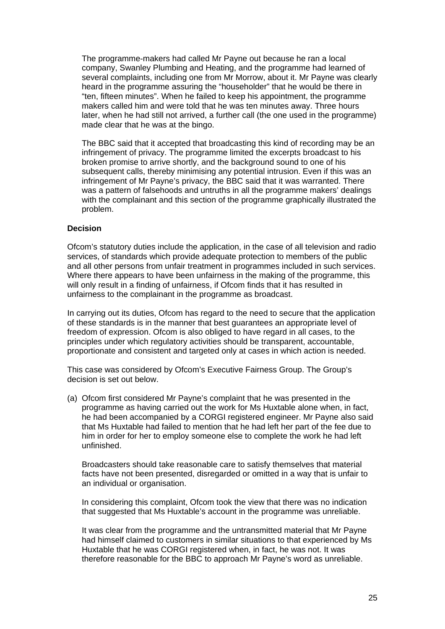The programme-makers had called Mr Payne out because he ran a local company, Swanley Plumbing and Heating, and the programme had learned of several complaints, including one from Mr Morrow, about it. Mr Payne was clearly heard in the programme assuring the "householder" that he would be there in "ten, fifteen minutes". When he failed to keep his appointment, the programme makers called him and were told that he was ten minutes away. Three hours later, when he had still not arrived, a further call (the one used in the programme) made clear that he was at the bingo.

The BBC said that it accepted that broadcasting this kind of recording may be an infringement of privacy. The programme limited the excerpts broadcast to his broken promise to arrive shortly, and the background sound to one of his subsequent calls, thereby minimising any potential intrusion. Even if this was an infringement of Mr Payne's privacy, the BBC said that it was warranted. There was a pattern of falsehoods and untruths in all the programme makers' dealings with the complainant and this section of the programme graphically illustrated the problem.

### **Decision**

Ofcom's statutory duties include the application, in the case of all television and radio services, of standards which provide adequate protection to members of the public and all other persons from unfair treatment in programmes included in such services. Where there appears to have been unfairness in the making of the programme, this will only result in a finding of unfairness, if Ofcom finds that it has resulted in unfairness to the complainant in the programme as broadcast.

In carrying out its duties, Ofcom has regard to the need to secure that the application of these standards is in the manner that best guarantees an appropriate level of freedom of expression. Ofcom is also obliged to have regard in all cases, to the principles under which regulatory activities should be transparent, accountable, proportionate and consistent and targeted only at cases in which action is needed.

This case was considered by Ofcom's Executive Fairness Group. The Group's decision is set out below.

(a) Ofcom first considered Mr Payne's complaint that he was presented in the programme as having carried out the work for Ms Huxtable alone when, in fact, he had been accompanied by a CORGI registered engineer. Mr Payne also said that Ms Huxtable had failed to mention that he had left her part of the fee due to him in order for her to employ someone else to complete the work he had left unfinished.

Broadcasters should take reasonable care to satisfy themselves that material facts have not been presented, disregarded or omitted in a way that is unfair to an individual or organisation.

In considering this complaint, Ofcom took the view that there was no indication that suggested that Ms Huxtable's account in the programme was unreliable.

It was clear from the programme and the untransmitted material that Mr Payne had himself claimed to customers in similar situations to that experienced by Ms Huxtable that he was CORGI registered when, in fact, he was not. It was therefore reasonable for the BBC to approach Mr Payne's word as unreliable.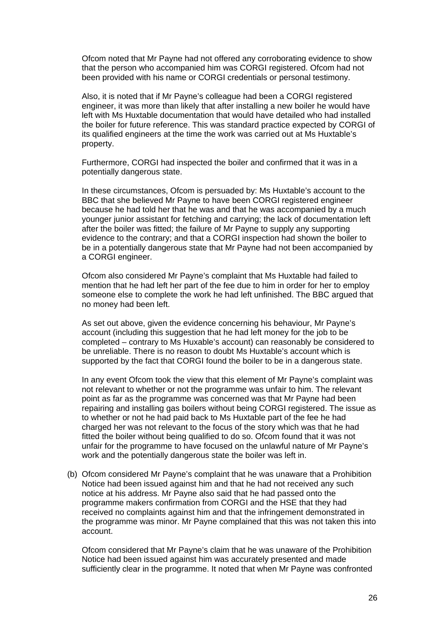Ofcom noted that Mr Payne had not offered any corroborating evidence to show that the person who accompanied him was CORGI registered. Ofcom had not been provided with his name or CORGI credentials or personal testimony.

Also, it is noted that if Mr Payne's colleague had been a CORGI registered engineer, it was more than likely that after installing a new boiler he would have left with Ms Huxtable documentation that would have detailed who had installed the boiler for future reference. This was standard practice expected by CORGI of its qualified engineers at the time the work was carried out at Ms Huxtable's property.

Furthermore, CORGI had inspected the boiler and confirmed that it was in a potentially dangerous state.

In these circumstances, Ofcom is persuaded by: Ms Huxtable's account to the BBC that she believed Mr Payne to have been CORGI registered engineer because he had told her that he was and that he was accompanied by a much younger junior assistant for fetching and carrying; the lack of documentation left after the boiler was fitted; the failure of Mr Payne to supply any supporting evidence to the contrary; and that a CORGI inspection had shown the boiler to be in a potentially dangerous state that Mr Payne had not been accompanied by a CORGI engineer.

Ofcom also considered Mr Payne's complaint that Ms Huxtable had failed to mention that he had left her part of the fee due to him in order for her to employ someone else to complete the work he had left unfinished. The BBC argued that no money had been left.

As set out above, given the evidence concerning his behaviour, Mr Payne's account (including this suggestion that he had left money for the job to be completed – contrary to Ms Huxable's account) can reasonably be considered to be unreliable. There is no reason to doubt Ms Huxtable's account which is supported by the fact that CORGI found the boiler to be in a dangerous state.

In any event Ofcom took the view that this element of Mr Payne's complaint was not relevant to whether or not the programme was unfair to him. The relevant point as far as the programme was concerned was that Mr Payne had been repairing and installing gas boilers without being CORGI registered. The issue as to whether or not he had paid back to Ms Huxtable part of the fee he had charged her was not relevant to the focus of the story which was that he had fitted the boiler without being qualified to do so. Ofcom found that it was not unfair for the programme to have focused on the unlawful nature of Mr Payne's work and the potentially dangerous state the boiler was left in.

(b) Ofcom considered Mr Payne's complaint that he was unaware that a Prohibition Notice had been issued against him and that he had not received any such notice at his address. Mr Payne also said that he had passed onto the programme makers confirmation from CORGI and the HSE that they had received no complaints against him and that the infringement demonstrated in the programme was minor. Mr Payne complained that this was not taken this into account.

Ofcom considered that Mr Payne's claim that he was unaware of the Prohibition Notice had been issued against him was accurately presented and made sufficiently clear in the programme. It noted that when Mr Payne was confronted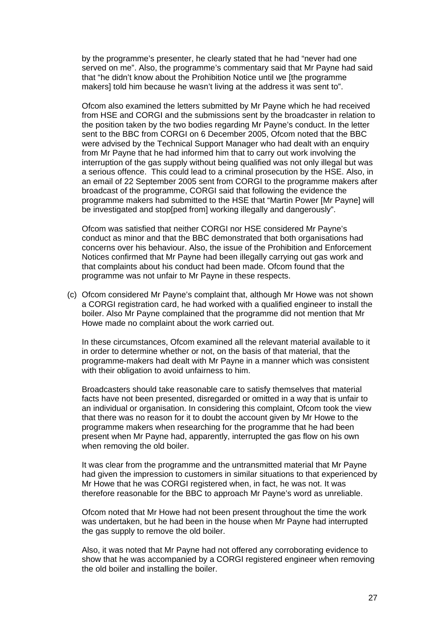by the programme's presenter, he clearly stated that he had "never had one served on me". Also, the programme's commentary said that Mr Payne had said that "he didn't know about the Prohibition Notice until we [the programme makers] told him because he wasn't living at the address it was sent to".

Ofcom also examined the letters submitted by Mr Payne which he had received from HSE and CORGI and the submissions sent by the broadcaster in relation to the position taken by the two bodies regarding Mr Payne's conduct. In the letter sent to the BBC from CORGI on 6 December 2005, Ofcom noted that the BBC were advised by the Technical Support Manager who had dealt with an enquiry from Mr Payne that he had informed him that to carry out work involving the interruption of the gas supply without being qualified was not only illegal but was a serious offence. This could lead to a criminal prosecution by the HSE. Also, in an email of 22 September 2005 sent from CORGI to the programme makers after broadcast of the programme, CORGI said that following the evidence the programme makers had submitted to the HSE that "Martin Power [Mr Payne] will be investigated and stop[ped from] working illegally and dangerously".

Ofcom was satisfied that neither CORGI nor HSE considered Mr Payne's conduct as minor and that the BBC demonstrated that both organisations had concerns over his behaviour. Also, the issue of the Prohibition and Enforcement Notices confirmed that Mr Payne had been illegally carrying out gas work and that complaints about his conduct had been made. Ofcom found that the programme was not unfair to Mr Payne in these respects.

(c) Ofcom considered Mr Payne's complaint that, although Mr Howe was not shown a CORGI registration card, he had worked with a qualified engineer to install the boiler. Also Mr Payne complained that the programme did not mention that Mr Howe made no complaint about the work carried out.

In these circumstances, Ofcom examined all the relevant material available to it in order to determine whether or not, on the basis of that material, that the programme-makers had dealt with Mr Payne in a manner which was consistent with their obligation to avoid unfairness to him.

Broadcasters should take reasonable care to satisfy themselves that material facts have not been presented, disregarded or omitted in a way that is unfair to an individual or organisation. In considering this complaint, Ofcom took the view that there was no reason for it to doubt the account given by Mr Howe to the programme makers when researching for the programme that he had been present when Mr Payne had, apparently, interrupted the gas flow on his own when removing the old boiler.

It was clear from the programme and the untransmitted material that Mr Payne had given the impression to customers in similar situations to that experienced by Mr Howe that he was CORGI registered when, in fact, he was not. It was therefore reasonable for the BBC to approach Mr Payne's word as unreliable.

Ofcom noted that Mr Howe had not been present throughout the time the work was undertaken, but he had been in the house when Mr Payne had interrupted the gas supply to remove the old boiler.

Also, it was noted that Mr Payne had not offered any corroborating evidence to show that he was accompanied by a CORGI registered engineer when removing the old boiler and installing the boiler.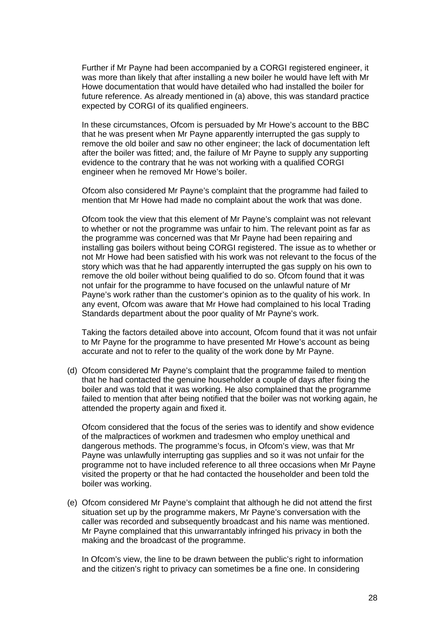Further if Mr Payne had been accompanied by a CORGI registered engineer, it was more than likely that after installing a new boiler he would have left with Mr Howe documentation that would have detailed who had installed the boiler for future reference. As already mentioned in (a) above, this was standard practice expected by CORGI of its qualified engineers.

In these circumstances, Ofcom is persuaded by Mr Howe's account to the BBC that he was present when Mr Payne apparently interrupted the gas supply to remove the old boiler and saw no other engineer; the lack of documentation left after the boiler was fitted; and, the failure of Mr Payne to supply any supporting evidence to the contrary that he was not working with a qualified CORGI engineer when he removed Mr Howe's boiler.

Ofcom also considered Mr Payne's complaint that the programme had failed to mention that Mr Howe had made no complaint about the work that was done.

Ofcom took the view that this element of Mr Payne's complaint was not relevant to whether or not the programme was unfair to him. The relevant point as far as the programme was concerned was that Mr Payne had been repairing and installing gas boilers without being CORGI registered. The issue as to whether or not Mr Howe had been satisfied with his work was not relevant to the focus of the story which was that he had apparently interrupted the gas supply on his own to remove the old boiler without being qualified to do so. Ofcom found that it was not unfair for the programme to have focused on the unlawful nature of Mr Payne's work rather than the customer's opinion as to the quality of his work. In any event, Ofcom was aware that Mr Howe had complained to his local Trading Standards department about the poor quality of Mr Payne's work.

Taking the factors detailed above into account, Ofcom found that it was not unfair to Mr Payne for the programme to have presented Mr Howe's account as being accurate and not to refer to the quality of the work done by Mr Payne.

(d) Ofcom considered Mr Payne's complaint that the programme failed to mention that he had contacted the genuine householder a couple of days after fixing the boiler and was told that it was working. He also complained that the programme failed to mention that after being notified that the boiler was not working again, he attended the property again and fixed it.

Ofcom considered that the focus of the series was to identify and show evidence of the malpractices of workmen and tradesmen who employ unethical and dangerous methods. The programme's focus, in Ofcom's view, was that Mr Payne was unlawfully interrupting gas supplies and so it was not unfair for the programme not to have included reference to all three occasions when Mr Payne visited the property or that he had contacted the householder and been told the boiler was working.

(e) Ofcom considered Mr Payne's complaint that although he did not attend the first situation set up by the programme makers, Mr Payne's conversation with the caller was recorded and subsequently broadcast and his name was mentioned. Mr Payne complained that this unwarrantably infringed his privacy in both the making and the broadcast of the programme.

In Ofcom's view, the line to be drawn between the public's right to information and the citizen's right to privacy can sometimes be a fine one. In considering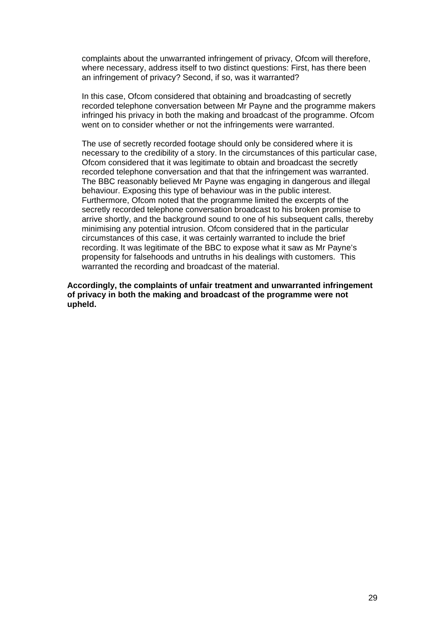complaints about the unwarranted infringement of privacy, Ofcom will therefore, where necessary, address itself to two distinct questions: First, has there been an infringement of privacy? Second, if so, was it warranted?

In this case, Ofcom considered that obtaining and broadcasting of secretly recorded telephone conversation between Mr Payne and the programme makers infringed his privacy in both the making and broadcast of the programme. Ofcom went on to consider whether or not the infringements were warranted.

The use of secretly recorded footage should only be considered where it is necessary to the credibility of a story. In the circumstances of this particular case, Ofcom considered that it was legitimate to obtain and broadcast the secretly recorded telephone conversation and that that the infringement was warranted. The BBC reasonably believed Mr Payne was engaging in dangerous and illegal behaviour. Exposing this type of behaviour was in the public interest. Furthermore, Ofcom noted that the programme limited the excerpts of the secretly recorded telephone conversation broadcast to his broken promise to arrive shortly, and the background sound to one of his subsequent calls, thereby minimising any potential intrusion. Ofcom considered that in the particular circumstances of this case, it was certainly warranted to include the brief recording. It was legitimate of the BBC to expose what it saw as Mr Payne's propensity for falsehoods and untruths in his dealings with customers. This warranted the recording and broadcast of the material.

**Accordingly, the complaints of unfair treatment and unwarranted infringement of privacy in both the making and broadcast of the programme were not upheld.**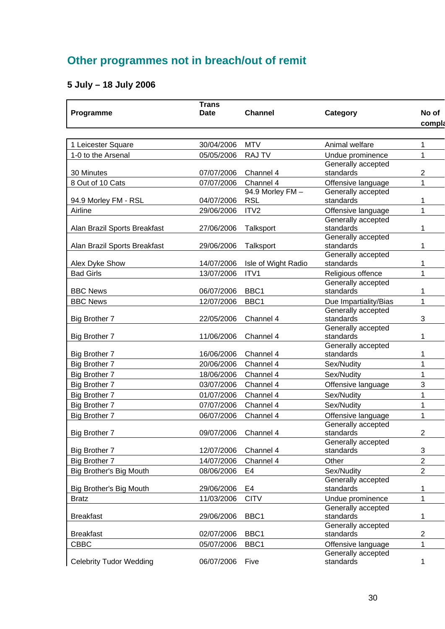## **Other programmes not in breach/out of remit**

### **5 July – 18 July 2006**

| Programme                      | <b>Trans</b><br><b>Date</b> | <b>Channel</b>         | Category                        | No of<br>compla |
|--------------------------------|-----------------------------|------------------------|---------------------------------|-----------------|
|                                |                             |                        |                                 |                 |
| 1 Leicester Square             | 30/04/2006                  | <b>MTV</b>             | Animal welfare                  | 1               |
| 1-0 to the Arsenal             | 05/05/2006                  | <b>RAJ TV</b>          | Undue prominence                | 1               |
|                                |                             |                        | Generally accepted              |                 |
| 30 Minutes                     | 07/07/2006                  | Channel 4              | standards                       | $\overline{2}$  |
| 8 Out of 10 Cats               | 07/07/2006                  | Channel 4              | Offensive language              | 1               |
|                                |                             | 94.9 Morley FM -       | Generally accepted              |                 |
| 94.9 Morley FM - RSL           | 04/07/2006                  | <b>RSL</b>             | standards                       | 1               |
| Airline                        | 29/06/2006                  | ITV2                   | Offensive language              | 1               |
|                                |                             |                        | Generally accepted              |                 |
| Alan Brazil Sports Breakfast   | 27/06/2006                  | Talksport              | standards                       | 1               |
| Alan Brazil Sports Breakfast   | 29/06/2006                  | Talksport              | Generally accepted<br>standards | 1               |
|                                |                             |                        | Generally accepted              |                 |
| Alex Dyke Show                 | 14/07/2006                  | Isle of Wight Radio    | standards                       | 1               |
| <b>Bad Girls</b>               | 13/07/2006                  | ITV1                   | Religious offence               | 1               |
|                                |                             |                        | Generally accepted              |                 |
| <b>BBC News</b>                | 06/07/2006                  | BBC1                   | standards                       | 1               |
| <b>BBC News</b>                | 12/07/2006                  | BBC1                   | Due Impartiality/Bias           | 1               |
|                                |                             |                        | Generally accepted              |                 |
| <b>Big Brother 7</b>           | 22/05/2006                  | Channel 4              | standards                       | 3               |
|                                |                             |                        | Generally accepted              |                 |
| <b>Big Brother 7</b>           | 11/06/2006                  | Channel 4              | standards                       | 1               |
|                                |                             |                        | Generally accepted<br>standards |                 |
| <b>Big Brother 7</b>           | 16/06/2006<br>20/06/2006    | Channel 4<br>Channel 4 | Sex/Nudity                      | 1               |
| Big Brother 7                  |                             |                        |                                 | 1               |
| <b>Big Brother 7</b>           | 18/06/2006                  | Channel 4              | Sex/Nudity                      | 1               |
| Big Brother 7                  | 03/07/2006                  | Channel 4              | Offensive language              | 3               |
| Big Brother 7                  | 01/07/2006                  | Channel 4              | Sex/Nudity                      | 1               |
| Big Brother 7                  | 07/07/2006                  | Channel 4              | Sex/Nudity                      | 1               |
| <b>Big Brother 7</b>           | 06/07/2006                  | Channel 4              | Offensive language              | 1               |
| <b>Big Brother 7</b>           | 09/07/2006                  | Channel 4              | Generally accepted<br>standards | $\overline{2}$  |
|                                |                             |                        | Generally accepted              |                 |
| <b>Big Brother 7</b>           | 12/07/2006                  | Channel 4              | standards                       | 3               |
| <b>Big Brother 7</b>           | 14/07/2006                  | Channel 4              | Other                           | $\overline{2}$  |
| Big Brother's Big Mouth        | 08/06/2006                  | E <sub>4</sub>         | Sex/Nudity                      | $\overline{2}$  |
|                                |                             |                        | Generally accepted              |                 |
| Big Brother's Big Mouth        | 29/06/2006                  | E <sub>4</sub>         | standards                       | 1               |
| <b>Bratz</b>                   | 11/03/2006                  | <b>CITV</b>            | Undue prominence                | 1               |
|                                |                             |                        | Generally accepted              |                 |
| <b>Breakfast</b>               | 29/06/2006                  | BBC1                   | standards                       | 1               |
|                                |                             |                        | Generally accepted              |                 |
| <b>Breakfast</b>               | 02/07/2006                  | BBC1                   | standards                       | $\overline{c}$  |
| <b>CBBC</b>                    | 05/07/2006                  | BBC1                   | Offensive language              | 1               |
|                                | 06/07/2006                  | Five                   | Generally accepted<br>standards |                 |
| <b>Celebrity Tudor Wedding</b> |                             |                        |                                 | 1               |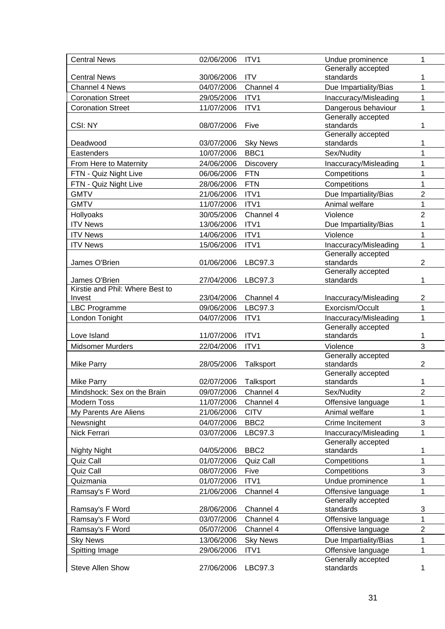| <b>Central News</b>             | 02/06/2006 | ITV1                    | Undue prominence                | 1                         |
|---------------------------------|------------|-------------------------|---------------------------------|---------------------------|
|                                 |            |                         | Generally accepted              |                           |
| <b>Central News</b>             | 30/06/2006 | <b>ITV</b>              | standards                       | 1                         |
| Channel 4 News                  | 04/07/2006 | Channel 4               | Due Impartiality/Bias           | 1                         |
| <b>Coronation Street</b>        | 29/05/2006 | ITV1                    | Inaccuracy/Misleading           | 1                         |
| <b>Coronation Street</b>        | 11/07/2006 | ITV1                    | Dangerous behaviour             | 1                         |
|                                 |            |                         | Generally accepted              |                           |
| CSI: NY                         | 08/07/2006 | Five                    | standards                       | 1                         |
|                                 | 03/07/2006 |                         | Generally accepted<br>standards | 1                         |
| Deadwood<br>Eastenders          | 10/07/2006 | <b>Sky News</b><br>BBC1 | Sex/Nudity                      | 1                         |
| From Here to Maternity          | 24/06/2006 | <b>Discovery</b>        | Inaccuracy/Misleading           | 1                         |
|                                 | 06/06/2006 | <b>FTN</b>              |                                 | 1                         |
| FTN - Quiz Night Live           |            | <b>FTN</b>              | Competitions                    |                           |
| FTN - Quiz Night Live           | 28/06/2006 |                         | Competitions                    | 1                         |
| <b>GMTV</b>                     | 21/06/2006 | ITV1                    | Due Impartiality/Bias           | $\overline{2}$            |
| <b>GMTV</b>                     | 11/07/2006 | ITV1                    | Animal welfare                  | 1                         |
| Hollyoaks                       | 30/05/2006 | Channel 4               | Violence                        | $\overline{2}$            |
| <b>ITV News</b>                 | 13/06/2006 | ITV1                    | Due Impartiality/Bias           | 1                         |
| <b>ITV News</b>                 | 14/06/2006 | ITV1                    | Violence                        | 1                         |
| <b>ITV News</b>                 | 15/06/2006 | ITV1                    | Inaccuracy/Misleading           | 1                         |
| James O'Brien                   | 01/06/2006 | LBC97.3                 | Generally accepted<br>standards | $\overline{2}$            |
|                                 |            |                         | Generally accepted              |                           |
| James O'Brien                   | 27/04/2006 | LBC97.3                 | standards                       | 1                         |
| Kirstie and Phil: Where Best to |            |                         |                                 |                           |
| Invest                          | 23/04/2006 | Channel 4               | Inaccuracy/Misleading           | $\overline{2}$            |
| <b>LBC Programme</b>            | 09/06/2006 | LBC97.3                 | Exorcism/Occult                 | 1                         |
| London Tonight                  | 04/07/2006 | ITV1                    | Inaccuracy/Misleading           | 1                         |
|                                 |            |                         | Generally accepted              |                           |
| Love Island                     | 11/07/2006 | ITV1                    | standards                       | 1                         |
| <b>Midsomer Murders</b>         | 22/04/2006 | ITV1                    | Violence                        | 3                         |
| <b>Mike Parry</b>               | 28/05/2006 | Talksport               | Generally accepted<br>standards | $\overline{2}$            |
|                                 |            |                         | Generally accepted              |                           |
| <b>Mike Parry</b>               | 02/07/2006 | Talksport               | standards                       | 1                         |
| Mindshock: Sex on the Brain     | 09/07/2006 | Channel 4               | Sex/Nudity                      | $\overline{2}$            |
| <b>Modern Toss</b>              | 11/07/2006 | Channel 4               | Offensive language              | 1                         |
| My Parents Are Aliens           | 21/06/2006 | <b>CITV</b>             | Animal welfare                  | 1                         |
| Newsnight                       | 04/07/2006 | BBC <sub>2</sub>        | Crime Incitement                | 3                         |
| Nick Ferrari                    | 03/07/2006 | LBC97.3                 | Inaccuracy/Misleading           | 1                         |
|                                 |            |                         |                                 |                           |
| <b>Nighty Night</b>             |            |                         | Generally accepted              |                           |
|                                 | 04/05/2006 | BBC <sub>2</sub>        | standards                       | 1                         |
| Quiz Call                       | 01/07/2006 | <b>Quiz Call</b>        | Competitions                    | 1                         |
| Quiz Call                       | 08/07/2006 | Five                    | Competitions                    | 3                         |
| Quizmania                       | 01/07/2006 | ITV1                    | Undue prominence                | 1                         |
| Ramsay's F Word                 | 21/06/2006 | Channel 4               | Offensive language              | 1                         |
|                                 |            |                         | Generally accepted              |                           |
| Ramsay's F Word                 | 28/06/2006 | Channel 4               | standards                       | $\ensuremath{\mathsf{3}}$ |
| Ramsay's F Word                 | 03/07/2006 | Channel 4               | Offensive language              | 1                         |
| Ramsay's F Word                 | 05/07/2006 | Channel 4               | Offensive language              | $\overline{2}$            |
| <b>Sky News</b>                 | 13/06/2006 | <b>Sky News</b>         | Due Impartiality/Bias           | 1                         |
| Spitting Image                  | 29/06/2006 | ITV <sub>1</sub>        | Offensive language              | 1                         |
| <b>Steve Allen Show</b>         | 27/06/2006 | LBC97.3                 | Generally accepted<br>standards | 1                         |